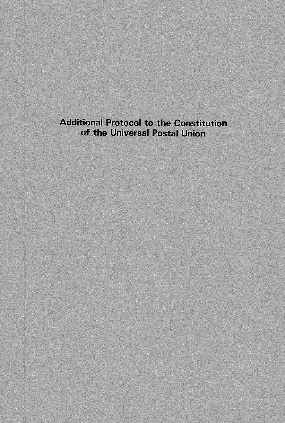# **Additional Protocol to the Constitution** of the Universal Postal Union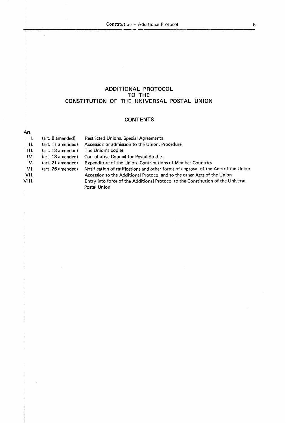$\overline{\phantom{a}}$ 

# **ADDITIONAL PROTOCOL TO THE CONSTITUTION OF THE UNIVERSAL POSTAL UNION**

# **CONTENTS**

#### Art. 1. 11. **111.**  IV. V. VI. VII. VIII. (art. 8 amended) (art. 11 amended) (art. 13 amended) (art. 18 amended) (art. **21** amended) (art. 26 amended) Restricted Unions. Special Agreements Accession or admission to the Union. Procedure The Union's bodies Consultative Council for Postal Studies Expenditure of the Union. Contributions of Member Countries Notification of ratifications and other forms of approval of the Acts of the Union Accession to the Additional Protocol and to the other Acts of the Union Entry into force of the Additional Protocol to the Constitution of the Universal Postal Union

5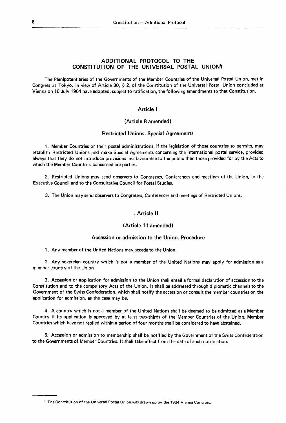# **ADDITIONAL PROTOCOL TO THE CONSTITUTION OF THE UNIVERSAL POSTAL UNIONi**

The Plenipotentiaries of the Governments of the Member Countries of the Universal Postal Union, met in Congress at Tokyo, in view of Article 30, § 2, of the Constitution of the Universal Postal Union concluded at Vienna on 10 July 1964 have adopted, subject to ratification, the following amendments to that Constitution.

# **Article 1**

# **(Article 8 amended)**

## **Restricted Un ions. Special Agreements**

1. Member Countries or their postal administrations, if the legislation of those countries so permits, may establish Restricted Unions and make Special Agreements concerning the international postal service, provided always that they do not introduce provisions less favourable to the public than those provided for by the Acts to which the Member Countries concerned are parties.

2. Restricted Unions may send observers to Congresses, Conferences and meetings of the Union, to the Executive Council and to the Consultative Council for Postal Studies.

3. The Union may send observers to Congresses, Conferences and meetings of Restricted Unions .

#### . **Article Il**

# **(Article 11 amended)**

#### **Accession or admission to the Union. Procedure**

1. Any member of the United Nations may accede to the Union.

2. Any sovereign country which is not a member of the United Nations may apply for admission as a member country of the Union.

**3.** Accession or application for admission to the Union shall entai! a formai declaration of accession to the Constitution and to the compulsory Acts of the Union. lt shall be addressed through diplomatie channels to the Government of the Swiss Confederation, which shall notify the accession or consult the member countries on the application for admission, as the case may be.

**4. A** country which is not a member of the United Nations shall be deemed to be admitted as a Member Country if its application is approved by at least two-thirds of the Member Countries of the Union. Member Countries which have not replied within a period of four months shall be considered to have abstained.

5. Accession or admission to membership shall be notified by the Government of the Swiss Confederation to the Governments of Member Countries. lt shall take effect from the date of such notification.

1 The Constitution of the Universal Postal Union was drawn up by the 1964 Vienna Congress.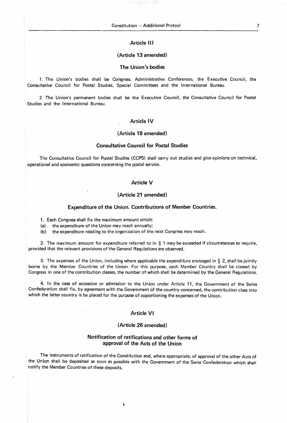# **Article Ill**

#### **(Article 13 amended)**

## **The Union's bodies**

1. The Union's bodies shall be Congress, Administrative Conferences, the Executive Council, the Consultative Council for Postal Studies, Special Committees and the International Bureau.

2. The Union's permanent bodies shall be the Executive Council, the Consultative Council for Postal Studies and the International Bureau.

# **Article IV**

# **(Article 18 amended)**

#### **Consultative Council for Postal Studies**

The Consultative Council for Postal Studies (CCPS) shall carry out studies and give opinions on technical, operational and economic questions concerning the postal service.

# **Article V**

#### **(Article 21 amended)**

#### **Expenditure of the Union. Contributions of Member Countries.**

1. Each Congress shall fix the maximum amount which:

(a) the expenditure of the Union may reach annually;

(b) the expenditure relating to the organization of the next Congress may reach.

2. The maximum amount for expenditure referred to in § 1 may be exceeded if circumstances so require, provided that the relevant provisions of the General Regulations are observed.

3. The expenses of the Union, including where applicable the expenditure envisaged in  $\S$  2, shall be jointly borne by the Member Countries of the Union. For this purpose, each Member Country shall be classed by Congress in one of the contribution classes, the number of which shall be determined by the General Regulations.

4. ln the case of accession or admission to the Union under Article 11, the Government of the Swiss Confederation shall fix, by agreement with the Government of the country concerned, the contribution class into which the latter country is be placed for the purpose of apportioning the expenses of the Union.

#### **Article VI**

#### **(Article 26 amended)**

#### **Notification of ratifications and other forms of approval of the Acts of the Union**

The instruments of ratification of the Constitution and, where appropriate, of approval of the other Acts of the Union shall be deposited as soon as possible with the Government of the Swiss Confederation which shall notify the Member Countries of these deposits.

7